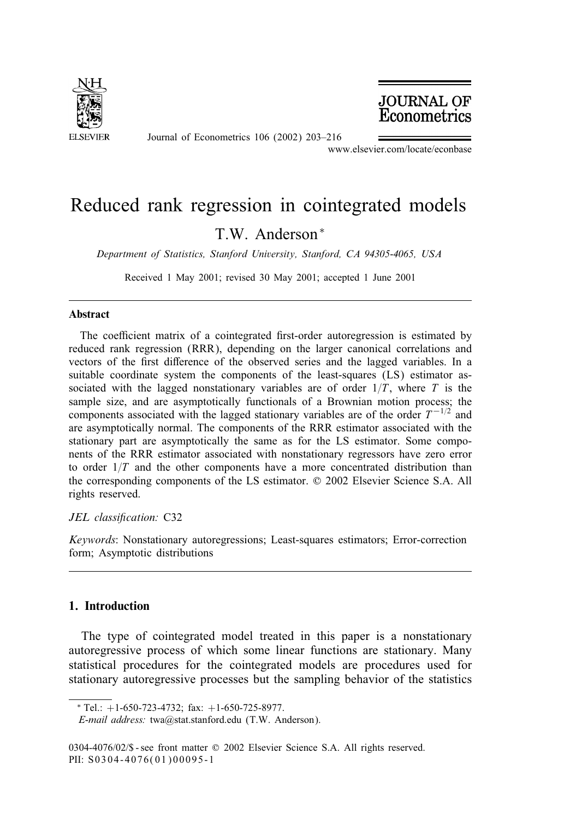

**JOURNAL OF** Econometrics

Journal of Econometrics 106 (2002) 203–216

www.elsevier.com/locate/econbase

# Reduced rank regression in cointegrated models

T.W. Anderson <sup>∗</sup>

*Department of Statistics, Stanford University, Stanford, CA 94305-4065, USA*

Received 1 May 2001; revised 30 May 2001; accepted 1 June 2001

#### Abstract

The coefficient matrix of a cointegrated first-order autoregression is estimated by reduced rank regression (RRR), depending on the larger canonical correlations and vectors of the first difference of the observed series and the lagged variables. In a suitable coordinate system the components of the least-squares (LS) estimator associated with the lagged nonstationary variables are of order  $1/T$ , where T is the sample size, and are asymptotically functionals of a Brownian motion process; the components associated with the lagged stationary variables are of the order  $T^{-1/2}$  and are asymptotically normal. The components of the RRR estimator associated with the stationary part are asymptotically the same as for the LS estimator. Some components of the RRR estimator associated with nonstationary regressors have zero error to order  $1/T$  and the other components have a more concentrated distribution than the corresponding components of the LS estimator. © 2002 Elsevier Science S.A. All rights reserved.

# JEL classification: C32

*Keywords*: Nonstationary autoregressions; Least-squares estimators; Error-correction form; Asymptotic distributions

# 1. Introduction

The type of cointegrated model treated in this paper is a nonstationary autoregressive process of which some linear functions are stationary. Many statistical procedures for the cointegrated models are procedures used for stationary autoregressive processes but the sampling behavior of the statistics

<sup>∗</sup> Tel.: +1-650-723-4732; fax: +1-650-725-8977.

*E-mail address:* twa@stat.stanford.edu (T.W. Anderson).

<sup>0304-4076/02/\$ -</sup> see front matter © 2002 Elsevier Science S.A. All rights reserved. PII: S0304-4076(01)00095-1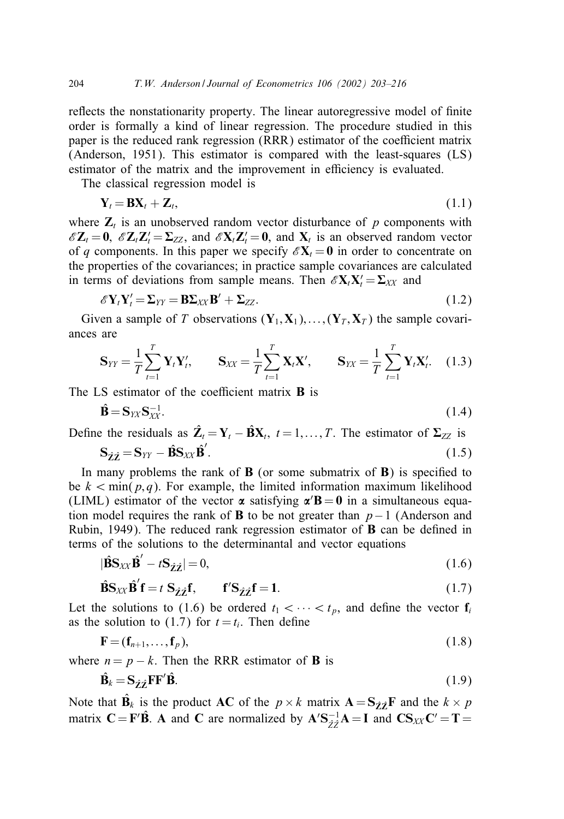reflects the nonstationarity property. The linear autoregressive model of finite order is formally a kind of linear regression. The procedure studied in this paper is the reduced rank regression (RRR) estimator of the coefficient matrix (Anderson, 1951). This estimator is compared with the least-squares (LS) estimator of the matrix and the improvement in efficiency is evaluated.

The classical regression model is

$$
\mathbf{Y}_t = \mathbf{B} \mathbf{X}_t + \mathbf{Z}_t, \tag{1.1}
$$

where  $\mathbf{Z}_t$  is an unobserved random vector disturbance of p components with  $\mathscr{E} \mathbf{Z}_t = \mathbf{0}$ ,  $\mathscr{E} \mathbf{Z}_t \mathbf{Z}_t' = \Sigma_{ZZ}$ , and  $\mathscr{E} \mathbf{X}_t \mathbf{Z}_t' = \mathbf{0}$ , and  $\mathbf{X}_t$  is an observed random vector of q components. In this paper we specify  $\mathscr{E}X_t = 0$  in order to concentrate on the properties of the covariances; in practice sample covariances are calculated in terms of deviations from sample means. Then  $\mathscr{E} \mathbf{X}_t \mathbf{X}_t = \mathbf{\Sigma}_{XX}$  and

$$
\mathscr{E}\mathbf{Y}_{t}\mathbf{Y}_{t}'=\mathbf{\Sigma}_{YY}=\mathbf{B}\mathbf{\Sigma}_{XX}\mathbf{B}'+\mathbf{\Sigma}_{ZZ}.\tag{1.2}
$$

Given a sample of T observations  $(Y_1, X_1), \ldots, (Y_T, X_T)$  the sample covariances are

$$
\mathbf{S}_{YY} = \frac{1}{T} \sum_{t=1}^{T} \mathbf{Y}_t \mathbf{Y}_t', \qquad \mathbf{S}_{XX} = \frac{1}{T} \sum_{t=1}^{T} \mathbf{X}_t \mathbf{X}', \qquad \mathbf{S}_{YY} = \frac{1}{T} \sum_{t=1}^{T} \mathbf{Y}_t \mathbf{X}_t'. \tag{1.3}
$$

The LS estimator of the coefficient matrix  $\bf{B}$  is

$$
\hat{\mathbf{B}} = \mathbf{S}_{\mathit{YX}} \mathbf{S}_{\mathit{XX}}^{-1}.\tag{1.4}
$$

Define the residuals as  $\hat{\mathbf{Z}}_t = \mathbf{Y}_t - \hat{\mathbf{B}}\mathbf{X}_t$ ,  $t = 1, \dots, T$ . The estimator of  $\Sigma_{ZZ}$  is

$$
\mathbf{S}_{\hat{\mathbf{Z}}\hat{\mathbf{Z}}} = \mathbf{S}_{YY} - \hat{\mathbf{B}}\mathbf{S}_{XX}\hat{\mathbf{B}}'.\tag{1.5}
$$

In many problems the rank of  $\bf{B}$  (or some submatrix of  $\bf{B}$ ) is specified to be  $k < \min(p, q)$ . For example, the limited information maximum likelihood (LIML) estimator of the vector  $\alpha$  satisfying  $\alpha'$ **B** = **0** in a simultaneous equation model requires the rank of **B** to be not greater than  $p-1$  (Anderson and Rubin, 1949). The reduced rank regression estimator of  $\bf{B}$  can be defined in terms of the solutions to the determinantal and vector equations

$$
|\hat{\mathbf{B}}\mathbf{S}_{XX}\hat{\mathbf{B}}' - t\mathbf{S}_{\hat{\mathbf{Z}}\hat{\mathbf{Z}}}| = 0, \tag{1.6}
$$

$$
\hat{\mathbf{B}}\mathbf{S}_{XX}\hat{\mathbf{B}}'\mathbf{f} = t\ \mathbf{S}_{\hat{\mathbf{Z}}\hat{\mathbf{Z}}}\mathbf{f}, \qquad \mathbf{f}'\mathbf{S}_{\hat{\mathbf{Z}}\hat{\mathbf{Z}}}\mathbf{f} = 1. \tag{1.7}
$$

Let the solutions to (1.6) be ordered  $t_1 < \cdots < t_p$ , and define the vector  $f_i$ as the solution to (1.7) for  $t = t_i$ . Then define

$$
\mathbf{F} = (\mathbf{f}_{n+1}, \dots, \mathbf{f}_p),\tag{1.8}
$$

where  $n = p - k$ . Then the RRR estimator of **B** is

$$
\hat{\mathbf{B}}_k = \mathbf{S}_{\hat{\mathbf{Z}}\hat{\mathbf{Z}}} \mathbf{F} \mathbf{F}' \hat{\mathbf{B}}.\tag{1.9}
$$

Note that  $\mathbf{B}_k$  is the product AC of the  $p \times k$  matrix  $\mathbf{A} = \mathbf{S}_{\hat{\mathcal{I}}\hat{\mathcal{I}}}\mathbf{F}$  and the  $k \times p$ matrix  $\mathbf{C} = \mathbf{F}'\hat{\mathbf{B}}$ . A and C are normalized by  $\mathbf{A}'\mathbf{S}_{\hat{Z}\hat{Z}}^{-1}\mathbf{A} = \mathbf{I}$  and  $\mathbf{C}\mathbf{S}_{XX}\mathbf{C}' = \mathbf{T} =$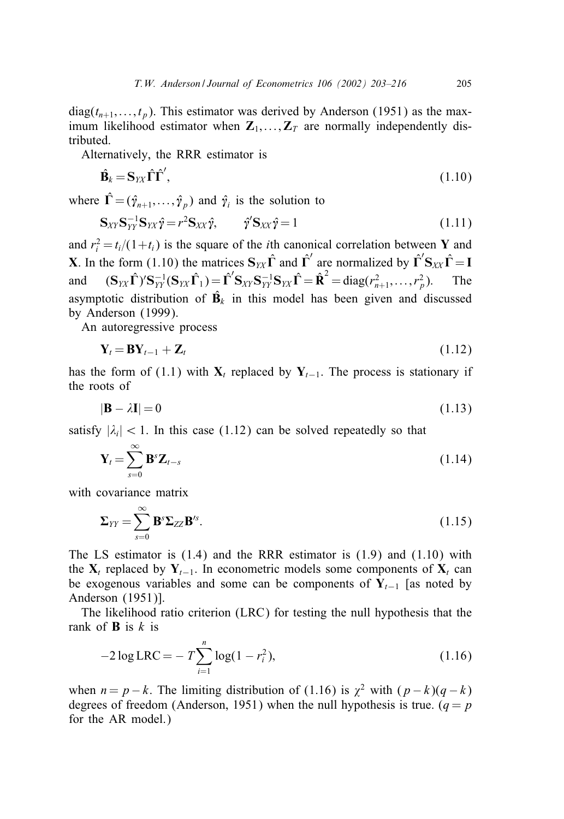$diag(t_{n+1},...,t_p)$ . This estimator was derived by Anderson (1951) as the maximum likelihood estimator when  $\mathbf{Z}_1, \ldots, \mathbf{Z}_T$  are normally independently distributed.

Alternatively, the RRR estimator is

$$
\hat{\mathbf{B}}_k = \mathbf{S}_{YX} \hat{\boldsymbol{\Gamma}} \hat{\boldsymbol{\Gamma}}',\tag{1.10}
$$

where  $\hat{\Gamma} = (\hat{\gamma}_{n+1},...,\hat{\gamma}_p)$  and  $\hat{\gamma}_i$  is the solution to

$$
\mathbf{S}_{XY}\mathbf{S}_{YY}^{-1}\mathbf{S}_{YX}\hat{\mathbf{y}} = r^2\mathbf{S}_{XX}\hat{\mathbf{y}}, \qquad \hat{\mathbf{y}}'\mathbf{S}_{XX}\hat{\mathbf{y}} = 1 \tag{1.11}
$$

and  $r_i^2 = t_i/(1+t_i)$  is the square of the *i*th canonical correlation between Y and **X**. In the form (1.10) the matrices  $S_{YX} \hat{\Gamma}$  and  $\hat{\Gamma}'$  are normalized by  $\hat{\Gamma}' S_{XX} \hat{\Gamma} = I$ and  $({\bf S}_{YX}\hat{\bf \Gamma})'{\bf S}_{YY}^{-1}({\bf S}_{YX}\hat{\bf \Gamma}_{1}) = \hat{\bf \Gamma}'{\bf S}_{XY}{\bf S}_{YY}^{-1}{\bf S}_{YX}\hat{\bf \Gamma} = \hat{\bf R}^2 = \text{diag}(r_{n+1}^2,\ldots,r_{p}^2)$ <sup>p</sup>). The asymptotic distribution of  $\hat{\mathbf{B}}_k$  in this model has been given and discussed by Anderson (1999).

An autoregressive process

$$
\mathbf{Y}_t = \mathbf{B} \mathbf{Y}_{t-1} + \mathbf{Z}_t \tag{1.12}
$$

has the form of (1.1) with  $X_t$  replaced by  $Y_{t-1}$ . The process is stationary if the roots of

$$
|\mathbf{B} - \lambda \mathbf{I}| = 0 \tag{1.13}
$$

satisfy  $|\lambda_i|$  < 1. In this case (1.12) can be solved repeatedly so that

$$
\mathbf{Y}_{t} = \sum_{s=0}^{\infty} \mathbf{B}^{s} \mathbf{Z}_{t-s}
$$
 (1.14)

with covariance matrix

$$
\Sigma_{YY} = \sum_{s=0}^{\infty} \mathbf{B}^s \Sigma_{ZZ} \mathbf{B}^s.
$$
 (1.15)

The LS estimator is  $(1.4)$  and the RRR estimator is  $(1.9)$  and  $(1.10)$  with the  $X_t$  replaced by  $Y_{t-1}$ . In econometric models some components of  $X_t$  can be exogenous variables and some can be components of  $Y_{t-1}$  [as noted by Anderson (1951)].

The likelihood ratio criterion (LRC) for testing the null hypothesis that the rank of **B** is  $k$  is

$$
-2\log\text{LRC} = -T\sum_{i=1}^{n}\log(1 - r_i^2),\tag{1.16}
$$

when  $n = p - k$ . The limiting distribution of (1.16) is  $\chi^2$  with  $(p - k)(q - k)$ degrees of freedom (Anderson, 1951) when the null hypothesis is true.  $(q = p)$ for the AR model.)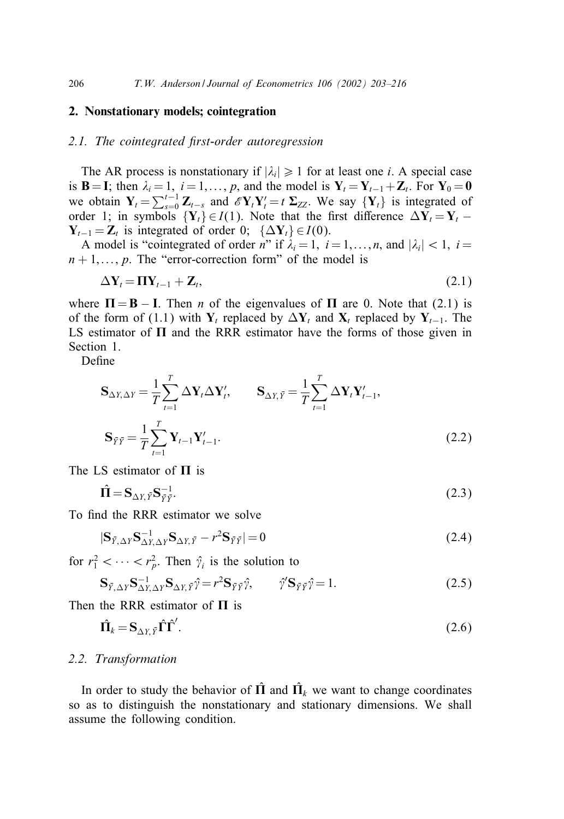## 2. Nonstationary models; cointegration

## 2.1. The cointegrated first-order autoregression

The AR process is nonstationary if  $|\lambda_i| \geq 1$  for at least one *i*. A special case is **B** = **I**; then  $\lambda_i = 1, i = 1, \ldots, p$ , and the model is  $Y_t = Y_{t-1} + Z_t$ . For  $Y_0 = 0$ we obtain  $Y_t = \sum_{s=0}^{t-1} Z_{t-s}$  and  $\mathscr{E}Y_t Y_t' = t \Sigma_{ZZ}$ . We say  $\{Y_t\}$  is integrated of order 1; in symbols  ${Y_t} \in I(1)$ . Note that the first difference  $\Delta Y_t = Y_t Y_{t-1} = Z_t$  is integrated of order 0; { $\Delta Y_t$ } ∈  $I(0)$ .

A model is "cointegrated of order n" if  $\lambda_i = 1, i = 1, \ldots, n$ , and  $|\lambda_i| < 1, i =$  $n+1,\ldots,p$ . The "error-correction form" of the model is

$$
\Delta \mathbf{Y}_t = \mathbf{\Pi} \mathbf{Y}_{t-1} + \mathbf{Z}_t, \tag{2.1}
$$

where  $\Pi = \mathbf{B} - \mathbf{I}$ . Then *n* of the eigenvalues of  $\Pi$  are 0. Note that (2.1) is of the form of (1.1) with  $Y_t$  replaced by  $\Delta Y_t$  and  $X_t$  replaced by  $Y_{t-1}$ . The LS estimator of  $\Pi$  and the RRR estimator have the forms of those given in Section 1.

Define

$$
\mathbf{S}_{\Delta Y, \Delta Y} = \frac{1}{T} \sum_{t=1}^{T} \Delta \mathbf{Y}_{t} \Delta \mathbf{Y}_{t}', \qquad \mathbf{S}_{\Delta Y, \bar{Y}} = \frac{1}{T} \sum_{t=1}^{T} \Delta \mathbf{Y}_{t} \mathbf{Y}_{t-1}',
$$
\n
$$
\mathbf{S}_{\bar{Y}\bar{Y}} = \frac{1}{T} \sum_{t=1}^{T} \mathbf{Y}_{t-1} \mathbf{Y}_{t-1}'. \tag{2.2}
$$

The LS estimator of  $\Pi$  is

$$
\hat{\Pi} = \mathbf{S}_{\Delta Y, \bar{Y}} \mathbf{S}_{\bar{Y}\bar{Y}}^{-1}.
$$
\n(2.3)

To find the RRR estimator we solve

$$
|\mathbf{S}_{\bar{Y},\Delta Y}\mathbf{S}_{\Delta Y,\Delta Y}^{-1}\mathbf{S}_{\Delta Y,\bar{Y}} - r^2\mathbf{S}_{\bar{Y}\bar{Y}}| = 0
$$
\n(2.4)

for  $r_1^2 < \cdots < r_p^2$ . Then  $\hat{\gamma}_i$  is the solution to

$$
\mathbf{S}_{\bar{Y},\Delta Y} \mathbf{S}_{\Delta Y,\Delta Y}^{-1} \mathbf{S}_{\Delta Y,\bar{Y}} \hat{\gamma} = r^2 \mathbf{S}_{\bar{Y}\bar{Y}} \hat{\gamma}, \qquad \hat{\gamma}' \mathbf{S}_{\bar{Y}\bar{Y}} \hat{\gamma} = 1.
$$
 (2.5)

Then the RRR estimator of  $\Pi$  is

$$
\hat{\mathbf{\Pi}}_k = \mathbf{S}_{\Delta Y, \tilde{Y}} \hat{\mathbf{\Gamma}} \hat{\mathbf{\Gamma}}'.
$$
\n(2.6)

## *2.2. Transformation*

In order to study the behavior of  $\hat{\Pi}$  and  $\hat{\Pi}_k$  we want to change coordinates so as to distinguish the nonstationary and stationary dimensions. We shall assume the following condition.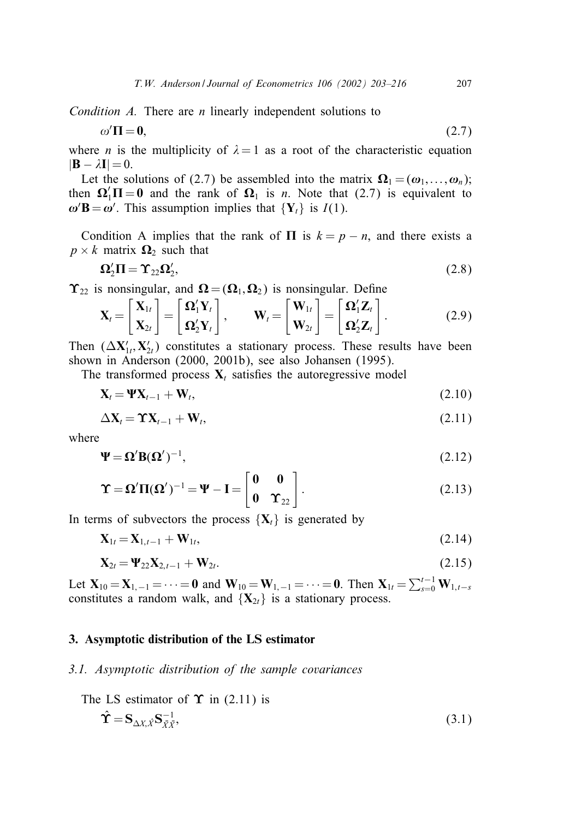*Condition A.* There are *n* linearly independent solutions to

$$
\Pi = 0,\tag{2.7}
$$

where *n* is the multiplicity of  $\lambda = 1$  as a root of the characteristic equation  $|\mathbf{B} - \lambda \mathbf{I}| = 0.$ 

Let the solutions of (2.7) be assembled into the matrix  $\mathbf{\Omega}_1 = (\omega_1, \ldots, \omega_n);$ then  $\Omega_1' \Pi = 0$  and the rank of  $\Omega_1$  is *n*. Note that (2.7) is equivalent to  $\omega'$ **B** =  $\omega'$ . This assumption implies that {Y<sub>t</sub>} is *I*(1).

Condition A implies that the rank of  $\Pi$  is  $k = p - n$ , and there exists a  $p \times k$  matrix  $\Omega_2$  such that

$$
\Omega_2'\Pi = \Upsilon_{22}\Omega_2',\tag{2.8}
$$

 $\Upsilon_{22}$  is nonsingular, and  $\Omega = (\Omega_1, \Omega_2)$  is nonsingular. Define

$$
\mathbf{X}_{t} = \begin{bmatrix} \mathbf{X}_{1t} \\ \mathbf{X}_{2t} \end{bmatrix} = \begin{bmatrix} \mathbf{\Omega}_{1}' \mathbf{Y}_{t} \\ \mathbf{\Omega}_{2}' \mathbf{Y}_{t} \end{bmatrix}, \qquad \mathbf{W}_{t} = \begin{bmatrix} \mathbf{W}_{1t} \\ \mathbf{W}_{2t} \end{bmatrix} = \begin{bmatrix} \mathbf{\Omega}_{1}' \mathbf{Z}_{t} \\ \mathbf{\Omega}_{2}' \mathbf{Z}_{t} \end{bmatrix}.
$$
 (2.9)

Then  $(\Delta X'_{1t}, X'_{2t})$  constitutes a stationary process. These results have been shown in Anderson (2000, 2001b), see also Johansen (1995).

The transformed process  $X_t$  satisfies the autoregressive model

$$
\mathbf{X}_t = \mathbf{\Psi} \mathbf{X}_{t-1} + \mathbf{W}_t, \tag{2.10}
$$

$$
\Delta \mathbf{X}_t = \mathbf{\hat{Y}} \mathbf{X}_{t-1} + \mathbf{W}_t, \tag{2.11}
$$

where

 $\omega'$ 

$$
\Psi = \Omega' B (\Omega')^{-1},\tag{2.12}
$$

$$
\Upsilon = \Omega' \Pi(\Omega')^{-1} = \Psi - I = \begin{bmatrix} 0 & 0 \\ 0 & \Upsilon_{22} \end{bmatrix}.
$$
 (2.13)

In terms of subvectors the process  $\{X_t\}$  is generated by

$$
\mathbf{X}_{1t} = \mathbf{X}_{1,t-1} + \mathbf{W}_{1t},\tag{2.14}
$$

$$
\mathbf{X}_{2t} = \mathbf{\Psi}_{22} \mathbf{X}_{2,t-1} + \mathbf{W}_{2t}.
$$
 (2.15)

Let  $X_{10} = X_{1,-1} = \cdots = 0$  and  $W_{10} = W_{1,-1} = \cdots = 0$ . Then  $X_{1t} = \sum_{s=0}^{t-1} W_{1,t-s}$ constitutes a random walk, and  $\{X_{2t}\}\$ is a stationary process.

# 3. Asymptotic distribution of the LS estimator

## *3.1. Asymptotic distribution of the sample covariances*

The LS estimator of 
$$
\Upsilon
$$
 in (2.11) is  
\n
$$
\hat{\Upsilon} = \mathbf{S}_{\Delta X, \hat{X}} \mathbf{S}_{\bar{X}\bar{X}}^{-1},
$$
\n(3.1)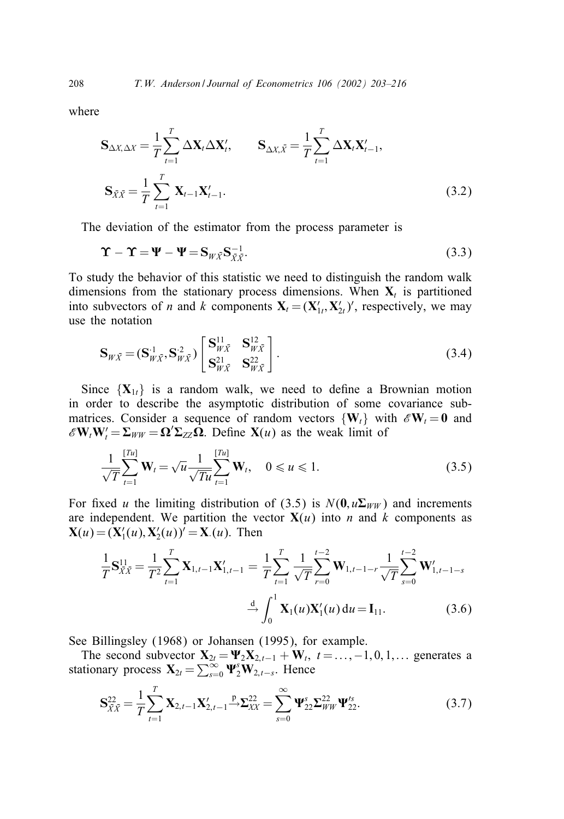where

$$
\mathbf{S}_{\Delta X, \Delta X} = \frac{1}{T} \sum_{t=1}^{T} \Delta \mathbf{X}_t \Delta \mathbf{X}_t', \qquad \mathbf{S}_{\Delta X, \bar{X}} = \frac{1}{T} \sum_{t=1}^{T} \Delta \mathbf{X}_t \mathbf{X}_{t-1}',
$$
  

$$
\mathbf{S}_{\bar{X}\bar{X}} = \frac{1}{T} \sum_{t=1}^{T} \mathbf{X}_{t-1} \mathbf{X}_{t-1}'. \qquad (3.2)
$$

The deviation of the estimator from the process parameter is

$$
\Upsilon - \Upsilon = \Psi - \Psi = S_{W\bar{X}} S_{\bar{X}\bar{X}}^{-1}.
$$
\n(3.3)

To study the behavior of this statistic we need to distinguish the random walk dimensions from the stationary process dimensions. When  $X_t$  is partitioned into subvectors of *n* and *k* components  $X_t = (X'_{1t}, X'_{2t})'$ , respectively, we may use the notation

$$
\mathbf{S}_{W\bar{X}} = (\mathbf{S}_{W\bar{X}}^{1}, \mathbf{S}_{W\bar{X}}^{2}) \begin{bmatrix} \mathbf{S}_{W\bar{X}}^{11} & \mathbf{S}_{W\bar{X}}^{12} \\ \mathbf{S}_{W\bar{X}}^{21} & \mathbf{S}_{W\bar{X}}^{22} \end{bmatrix} .
$$
 (3.4)

Since  $\{X_{1t}\}\$ is a random walk, we need to define a Brownian motion in order to describe the asymptotic distribution of some covariance submatrices. Consider a sequence of random vectors  $\{W_t\}$  with  $\mathscr{E}W_t = 0$  and  $\mathscr{E} \mathbf{W}_t \mathbf{W}_t' = \sum_{WW} \mathbf{\Omega} \mathbf{\Sigma}_{ZZ} \mathbf{\Omega}$ . Define  $\mathbf{X}(u)$  as the weak limit of

$$
\frac{1}{\sqrt{T}}\sum_{t=1}^{[Tu]} \mathbf{W}_t = \sqrt{u} \frac{1}{\sqrt{T}u} \sum_{t=1}^{[Tu]} \mathbf{W}_t, \quad 0 \le u \le 1.
$$
 (3.5)

For fixed u the limiting distribution of (3.5) is  $N(\mathbf{0}, u\mathbf{\Sigma}_{WW})$  and increments are independent. We partition the vector  $X(u)$  into n and k components as  $X(u) = (X'_1(u), X'_2(u))' = X(u)$ . Then

$$
\frac{1}{T}\mathbf{S}_{\bar{X}\bar{X}}^{11} = \frac{1}{T^2}\sum_{t=1}^{T} \mathbf{X}_{1,t-1}\mathbf{X}_{1,t-1}' = \frac{1}{T}\sum_{t=1}^{T} \frac{1}{\sqrt{T}}\sum_{r=0}^{t-2} \mathbf{W}_{1,t-1-r}\frac{1}{\sqrt{T}}\sum_{s=0}^{t-2} \mathbf{W}_{1,t-1-s}'
$$
\n
$$
\xrightarrow{d} \int_{0}^{1} \mathbf{X}_{1}(u)\mathbf{X}_{1}'(u) du = \mathbf{I}_{11}.
$$
\n(3.6)

See Billingsley (1968) or Johansen (1995), for example.

The second subvector  $X_{2t} = \Psi_2 X_{2,t-1} + W_t$ ,  $t = ..., -1, 0, 1, ...$  generates a stationary process  $\mathbf{X}_{2t} = \sum_{s=0}^{\infty} \mathbf{\Psi}_{2}^{s} \mathbf{W}_{2,t-s}$ . Hence

$$
\mathbf{S}_{\bar{X}\bar{X}}^{22} = \frac{1}{T} \sum_{t=1}^{T} \mathbf{X}_{2,t-1} \mathbf{X}_{2,t-1}' \xrightarrow{\mathbf{p}} \Sigma_{XX}^{22} = \sum_{s=0}^{\infty} \mathbf{\Psi}_{22}^{s} \Sigma_{WW}^{22} \mathbf{\Psi}_{22}^{rs}.
$$
 (3.7)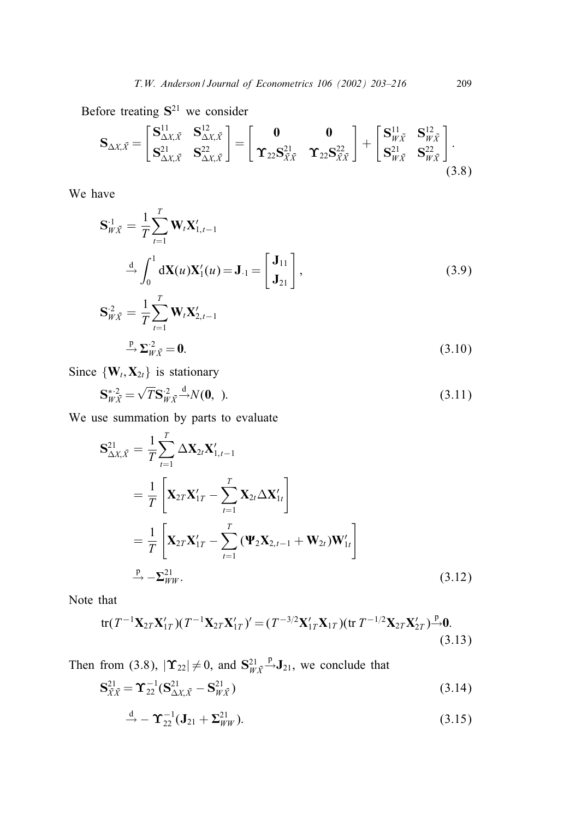Before treating  $S^{21}$  we consider

$$
\mathbf{S}_{\Delta X,\bar{X}} = \begin{bmatrix} \mathbf{S}_{\Delta X,\bar{X}}^{11} & \mathbf{S}_{\Delta X,\bar{X}}^{12} \\ \mathbf{S}_{\Delta X,\bar{X}}^{21} & \mathbf{S}_{\Delta X,\bar{X}}^{22} \end{bmatrix} = \begin{bmatrix} \mathbf{0} & \mathbf{0} \\ \mathbf{\Upsilon}_{22} \mathbf{S}_{\bar{X}\bar{X}}^{21} & \mathbf{\Upsilon}_{22} \mathbf{S}_{\bar{X}\bar{X}}^{22} \end{bmatrix} + \begin{bmatrix} \mathbf{S}_{W\bar{X}}^{11} & \mathbf{S}_{W\bar{X}}^{12} \\ \mathbf{S}_{W\bar{X}}^{21} & \mathbf{S}_{W\bar{X}}^{22} \end{bmatrix} . \tag{3.8}
$$

We have

$$
\mathbf{S}_{W\bar{X}}^{1} = \frac{1}{T} \sum_{t=1}^{T} \mathbf{W}_{t} \mathbf{X}_{1,t-1}^{\prime}
$$

$$
\stackrel{\text{d}}{\rightarrow} \int_{0}^{1} \mathbf{d} \mathbf{X}(u) \mathbf{X}_{1}^{\prime}(u) = \mathbf{J}_{\cdot 1} = \begin{bmatrix} \mathbf{J}_{11} \\ \mathbf{J}_{21} \end{bmatrix},
$$
(3.9)

$$
\mathbf{S}_{W\bar{X}}^2 = \frac{1}{T} \sum_{t=1}^T \mathbf{W}_t \mathbf{X}_{2,t-1}'
$$
  

$$
\xrightarrow{P} \Sigma_{W\bar{X}}^2 = \mathbf{0}.
$$
 (3.10)

Since  $\{W_t, X_{2t}\}\$ is stationary

$$
\mathbf{S}_{W\bar{X}}^{* \text{-} 2} = \sqrt{T} \mathbf{S}_{W\bar{X}}^{* 2} \stackrel{d}{\longrightarrow} N(\mathbf{0}, \text{ ).} \tag{3.11}
$$

We use summation by parts to evaluate

$$
\mathbf{S}_{\Delta X, \bar{X}}^{21} = \frac{1}{T} \sum_{t=1}^{T} \Delta \mathbf{X}_{2t} \mathbf{X}_{1, t-1}'
$$
  
\n
$$
= \frac{1}{T} \left[ \mathbf{X}_{2T} \mathbf{X}_{1T}' - \sum_{t=1}^{T} \mathbf{X}_{2t} \Delta \mathbf{X}_{1t}' \right]
$$
  
\n
$$
= \frac{1}{T} \left[ \mathbf{X}_{2T} \mathbf{X}_{1T}' - \sum_{t=1}^{T} (\mathbf{\Psi}_{2} \mathbf{X}_{2, t-1} + \mathbf{W}_{2t}) \mathbf{W}_{1t}' \right]
$$
  
\n
$$
\xrightarrow{P} -\sum_{WW}^{21}.
$$
 (3.12)

Note that

tr
$$
(T^{-1}\mathbf{X}_{2T}\mathbf{X}'_{1T})(T^{-1}\mathbf{X}_{2T}\mathbf{X}'_{1T})' = (T^{-3/2}\mathbf{X}'_{1T}\mathbf{X}_{1T})(\text{tr } T^{-1/2}\mathbf{X}_{2T}\mathbf{X}'_{2T}) \stackrel{\text{p}}{\rightarrow} 0.
$$
 (3.13)

Then from (3.8),  $|\Upsilon_{22}| \neq 0$ , and  $S^{21}_{W\bar{X}}$  $\stackrel{p}{\rightarrow}$ **J**<sub>21</sub>, we conclude that

$$
\mathbf{S}_{\bar{X}\bar{X}}^{21} = \mathbf{\Upsilon}_{22}^{-1} (\mathbf{S}_{\Delta X, \bar{X}}^{21} - \mathbf{S}_{W\bar{X}}^{21})
$$
(3.14)

$$
\stackrel{\text{d}}{\rightarrow} -\Upsilon_{22}^{-1}(\mathbf{J}_{21}+\Sigma_{WW}^{21}). \tag{3.15}
$$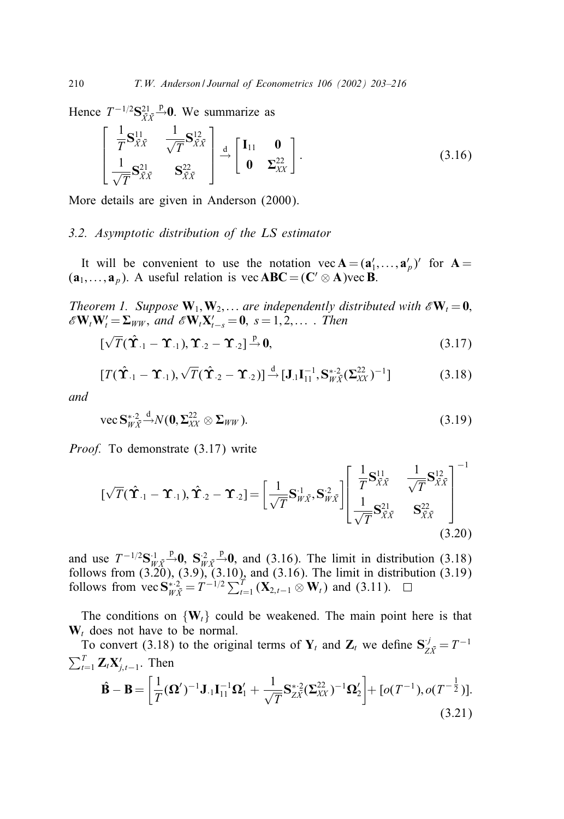Hence  $T^{-1/2}S^{21}_{\bar{X}\bar{X}}$  $\stackrel{p}{\rightarrow}$ 0. We summarize as

$$
\begin{bmatrix}\n\frac{1}{T}\mathbf{S}_{\bar{X}\bar{X}}^{11} & \frac{1}{\sqrt{T}}\mathbf{S}_{\bar{X}\bar{X}}^{12} \\
\frac{1}{\sqrt{T}}\mathbf{S}_{\bar{X}\bar{X}}^{21} & \mathbf{S}_{\bar{X}\bar{X}}^{22}\n\end{bmatrix} \stackrel{d}{\rightarrow} \begin{bmatrix}\n\mathbf{I}_{11} & \mathbf{0} \\
\mathbf{0} & \Sigma_{\bar{X}\bar{X}}^{22}\n\end{bmatrix}.
$$
\n(3.16)

More details are given in Anderson (2000).

## *3.2. Asymptotic distribution of the LS estimator*

It will be convenient to use the notation  $vec A = (a'_1, ..., a'_p)'$  for  $A =$  $(\mathbf{a}_1, \dots, \mathbf{a}_p)$ . A useful relation is vec **ABC** =  $(\mathbf{C}' \otimes \mathbf{A})$  vec **B**.

*Theorem 1. Suppose*  $W_1, W_2, \ldots$  *are independently distributed with*  $\mathscr{E}W_t = 0$ ,  $\mathscr{E} \mathbf{W}_t \mathbf{W}_t' = \sum_{WW}$ , and  $\mathscr{E} \mathbf{W}_t \mathbf{X}_{t-s}' = \mathbf{0}$ ,  $s = 1, 2, \dots$ . Then

$$
[\sqrt{T}(\hat{\mathbf{T}}_{-1}-\mathbf{\hat{T}}_{-1}), \mathbf{\hat{T}}_{-2}-\mathbf{\hat{T}}_{-2}] \xrightarrow{p} \mathbf{0}, \qquad (3.17)
$$

$$
[T(\hat{\mathbf{T}}_{.1} - \mathbf{T}_{.1}), \sqrt{T}(\hat{\mathbf{T}}_{.2} - \mathbf{T}_{.2})] \xrightarrow{d} [\mathbf{J}_{.1}\mathbf{I}_{11}^{-1}, \mathbf{S}_{W\tilde{X}}^{*2}(\Sigma_{XX}^{22})^{-1}]
$$
(3.18)

*and*

$$
\text{vec } \mathbf{S}_{W\bar{X}}^{* \cdot 2} \stackrel{\mathrm{d}}{\rightarrow} \mathcal{N}(\mathbf{0}, \mathbf{\Sigma}_{XX}^{22} \otimes \mathbf{\Sigma}_{WW}). \tag{3.19}
$$

*Proof.* To demonstrate (3.17) write

$$
\left[\sqrt{T}(\hat{\mathbf{T}}_{\cdot 1} - \mathbf{T}_{\cdot 1}), \hat{\mathbf{T}}_{\cdot 2} - \mathbf{T}_{\cdot 2}\right] = \left[\frac{1}{\sqrt{T}}\mathbf{S}_{W\bar{X}}^1, \mathbf{S}_{W\bar{X}}^2\right] \left[\begin{array}{cc} \frac{1}{T}\mathbf{S}_{\bar{X}\bar{X}}^{11} & \frac{1}{\sqrt{T}}\mathbf{S}_{\bar{X}\bar{X}}^{12} \\ \frac{1}{\sqrt{T}}\mathbf{S}_{\bar{X}\bar{X}}^{21} & \mathbf{S}_{\bar{X}\bar{X}}^{22} \end{array}\right]^{-1}
$$
\n(3.20)

and use  $T^{-1/2}S_{w\bar{v}}^{\perp} \stackrel{p}{\rightarrow} 0$ ,  $S_{w\bar{v}}^{\perp} \stackrel{p}{\rightarrow} 0$ , and (3.16). The limit in distribution (3.18) follows from (3.20), (3.9), (3.10), and (3.16). The limit in distribution (3.19) follows from (3.20), (3.9), (3.10), and (3.16). The limit in distribution (3.19) follows from  $\text{vec } S_{W\bar{X}}^{*2} = T^{-1/2} \sum_{t=1}^{T} (X_{2,t-1} \otimes W_t)$  and (3.11).

The conditions on  $\{W_t\}$  could be weakened. The main point here is that  $W_t$  does not have to be normal.

To convert (3.18) to the original terms of  $Y_t$  and  $Z_t$  we define  $S_{Z\bar{X}}^j = T^{-1}$  $\sum_{t=1}^{T} \mathbf{Z}_t \mathbf{X}'_{j,t-1}$ . Then

$$
\hat{\mathbf{B}} - \mathbf{B} = \left[ \frac{1}{T} (\mathbf{\Omega}')^{-1} \mathbf{J}_{.1} \mathbf{I}_{11}^{-1} \mathbf{\Omega}'_1 + \frac{1}{\sqrt{T}} \mathbf{S}_{ZX}^{*2} (\mathbf{\Sigma}_{XX}^{22})^{-1} \mathbf{\Omega}'_2 \right] + [o(T^{-1}), o(T^{-\frac{1}{2}})].
$$
\n(3.21)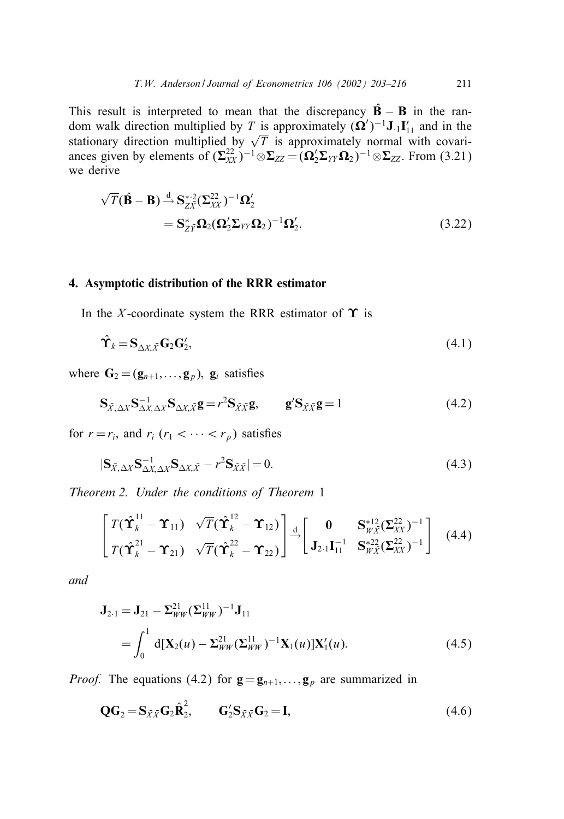This result is interpreted to mean that the discrepancy  $\hat{B} - B$  in the random walk direction multiplied by T is approximately  $({\bf Q}')^{-1}$ **J**.<sub>1</sub> ${\bf I}'_{11}$  and in the stationary direction multiplied by  $\sqrt{T}$  is approximately normal with covariances given by elements of  $(\Sigma_{XX}^{22})^{-1} \otimes \Sigma_{ZZ} = (\Omega_2' \Sigma_{YY} \Omega_2)^{-1} \otimes \Sigma_{ZZ}$ . From (3.21) we derive

$$
\sqrt{T}(\hat{\mathbf{B}} - \mathbf{B}) \stackrel{d}{\rightarrow} \mathbf{S}_{Z\bar{X}}^{* \text{-} 2} (\Sigma_{XX}^{22})^{-1} \Omega_2'
$$
  
= 
$$
\mathbf{S}_{Z\bar{Y}}^* \Omega_2 (\Omega_2' \Sigma_{YY} \Omega_2)^{-1} \Omega_2'.
$$
 (3.22)

# 4. Asymptotic distribution of the RRR estimator

In the X-coordinate system the RRR estimator of  $\Upsilon$  is

$$
\hat{\mathbf{T}}_k = \mathbf{S}_{\Delta X, \bar{X}} \mathbf{G}_2 \mathbf{G}_2',\tag{4.1}
$$

where  $\mathbf{G}_2 = (\mathbf{g}_{n+1},\ldots,\mathbf{g}_p)$ ,  $\mathbf{g}_i$  satisfies

$$
\mathbf{S}_{\bar{X},\Delta X}\mathbf{S}_{\Delta X,\Delta X}^{-1}\mathbf{S}_{\Delta X,\bar{X}}\mathbf{g} = r^2\mathbf{S}_{\bar{X}\bar{X}}\mathbf{g}, \qquad \mathbf{g}'\mathbf{S}_{\bar{X}\bar{X}}\mathbf{g} = 1 \tag{4.2}
$$

for  $r = r_i$ , and  $r_i$  ( $r_1 < \cdots < r_p$ ) satisfies

$$
|\mathbf{S}_{\bar{X},\Delta X}\mathbf{S}_{\Delta X,\Delta X}^{-1}\mathbf{S}_{\Delta X,\bar{X}} - r^2 \mathbf{S}_{\bar{X}\bar{X}}| = 0.
$$
\n(4.3)

*Theorem 2. Under the conditions of Theorem* 1

$$
\begin{bmatrix}\nT(\hat{\Upsilon}_{k}^{11} - \Upsilon_{11}) & \sqrt{T}(\hat{\Upsilon}_{k}^{12} - \Upsilon_{12}) \\
T(\hat{\Upsilon}_{k}^{21} - \Upsilon_{21}) & \sqrt{T}(\hat{\Upsilon}_{k}^{22} - \Upsilon_{22})\n\end{bmatrix} \stackrel{d}{\rightarrow} \begin{bmatrix}\n0 & S_{W\bar{X}}^{*12}(\Sigma_{XX}^{22})^{-1} \\
J_{2\cdot1}I_{11}^{-1} & S_{W\bar{X}}^{*22}(\Sigma_{XX}^{22})^{-1}\n\end{bmatrix}
$$
\n(4.4)

*and*

$$
\mathbf{J}_{2\cdot 1} = \mathbf{J}_{21} - \Sigma_{WW}^{21} (\Sigma_{WW}^{11})^{-1} \mathbf{J}_{11}
$$
  
= 
$$
\int_0^1 d[\mathbf{X}_2(u) - \Sigma_{WW}^{21} (\Sigma_{WW}^{11})^{-1} \mathbf{X}_1(u)] \mathbf{X}_1'(u).
$$
 (4.5)

*Proof.* The equations (4.2) for  $\mathbf{g} = \mathbf{g}_{n+1}, \dots, \mathbf{g}_p$  are summarized in

$$
\mathbf{Q}\mathbf{G}_2 = \mathbf{S}_{\bar{X}\bar{X}}\mathbf{G}_2\hat{\mathbf{R}}_2^2, \qquad \mathbf{G}_2'\mathbf{S}_{\bar{X}\bar{X}}\mathbf{G}_2 = \mathbf{I}, \tag{4.6}
$$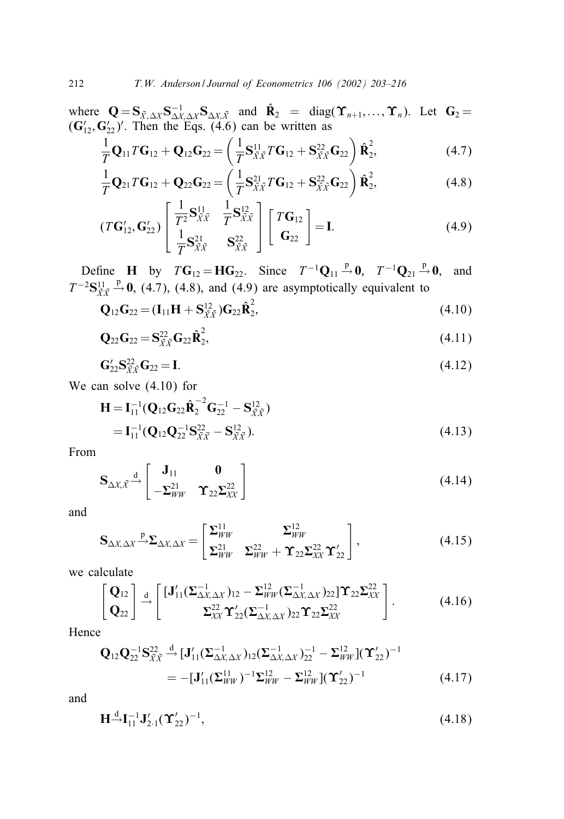where  $\mathbf{Q} = \mathbf{S}_{\bar{X}, \Delta X} \mathbf{S}_{\Delta X, \Delta X}^{-1} \mathbf{S}_{\Delta X, \bar{X}}$  and  $\hat{\mathbf{R}}_2 = \text{diag}(\mathbf{\hat{T}}_{n+1},...,\mathbf{\hat{T}}_n)$ . Let  $\mathbf{G}_2 =$  $(\mathbf{G}_{12}', \mathbf{G}_{22}')'$ . Then the Eqs. (4.6) can be written as

$$
\frac{1}{T}\mathbf{Q}_{11}T\mathbf{G}_{12} + \mathbf{Q}_{12}\mathbf{G}_{22} = \left(\frac{1}{T}\mathbf{S}_{\bar{X}\bar{X}}^{11}T\mathbf{G}_{12} + \mathbf{S}_{\bar{X}\bar{X}}^{22}\mathbf{G}_{22}\right)\hat{\mathbf{R}}_{2}^{2},\tag{4.7}
$$

$$
\frac{1}{T}\mathbf{Q}_{21}T\mathbf{G}_{12} + \mathbf{Q}_{22}\mathbf{G}_{22} = \left(\frac{1}{T}\mathbf{S}_{\bar{X}\bar{X}}^{21}T\mathbf{G}_{12} + \mathbf{S}_{\bar{X}\bar{X}}^{22}\mathbf{G}_{22}\right)\hat{\mathbf{R}}_{2}^{2},
$$
\n(4.8)

$$
(T\mathbf{G}'_{12}, \mathbf{G}'_{22}) \begin{bmatrix} \frac{1}{T^2} \mathbf{S}_{\bar{X}\bar{X}}^{11} & \frac{1}{T} \mathbf{S}_{\bar{X}\bar{X}}^{12} \\ \frac{1}{T} \mathbf{S}_{\bar{X}\bar{X}}^{21} & \mathbf{S}_{\bar{X}\bar{X}}^{22} \end{bmatrix} \begin{bmatrix} T\mathbf{G}_{12} \\ \mathbf{G}_{22} \end{bmatrix} = \mathbf{I}.
$$
 (4.9)

Define H by  $TG_{12} = HG_{22}$ . Since  $T^{-1}\mathbf{Q}_{11} \stackrel{p}{\rightarrow} \mathbf{0}$ ,  $T^{-1}\mathbf{Q}_{21} \stackrel{p}{\rightarrow} \mathbf{0}$ , and  $T^{-2}\mathbf{S}^{11}_{\bar{X}\bar{X}}$  $\stackrel{p}{\rightarrow}$  0, (4.7), (4.8), and (4.9) are asymptotically equivalent to

$$
\mathbf{Q}_{12}\mathbf{G}_{22} = (\mathbf{I}_{11}\mathbf{H} + \mathbf{S}_{\bar{X}\bar{X}}^{12})\mathbf{G}_{22}\hat{\mathbf{R}}_{2}^{2},
$$
\n(4.10)

$$
\mathbf{Q}_{22}\mathbf{G}_{22} = \mathbf{S}_{\bar{X}\bar{X}}^{22}\mathbf{G}_{22}\hat{\mathbf{R}}_{2}^{2},\tag{4.11}
$$

$$
G'_{22}S_{\bar{X}\bar{X}}^{22}G_{22} = I.
$$
\n(4.12)

We can solve (4.10) for

$$
\mathbf{H} = \mathbf{I}_{11}^{-1} (\mathbf{Q}_{12} \mathbf{G}_{22} \hat{\mathbf{R}}_2^{-2} \mathbf{G}_{22}^{-1} - \mathbf{S}_{\bar{X}\bar{X}}^{12})
$$
  
=  $\mathbf{I}_{11}^{-1} (\mathbf{Q}_{12} \mathbf{Q}_{22}^{-1} \mathbf{S}_{\bar{X}\bar{X}}^{22} - \mathbf{S}_{\bar{X}\bar{X}}^{12}).$  (4.13)

From

$$
\mathbf{S}_{\Delta X, \bar{X}} \stackrel{\mathrm{d}}{\rightarrow} \begin{bmatrix} \mathbf{J}_{11} & \mathbf{0} \\ -\boldsymbol{\Sigma}_{WW}^{21} & \mathbf{\hat{T}}_{22} \boldsymbol{\Sigma}_{XX}^{22} \end{bmatrix}
$$
(4.14)

and

$$
\mathbf{S}_{\Delta X, \Delta X} \xrightarrow{\mathbf{p}} \Sigma_{\Delta X, \Delta X} = \begin{bmatrix} \Sigma_{WW}^{11} & \Sigma_{WW}^{12} \\ \Sigma_{WW}^{21} & \Sigma_{WW}^{22} + \mathbf{\Upsilon}_{22} \Sigma_{XX}^{22} \mathbf{\Upsilon}_{22} \end{bmatrix},\tag{4.15}
$$

we calculate

$$
\begin{bmatrix} \mathbf{Q}_{12} \\ \mathbf{Q}_{22} \end{bmatrix} \stackrel{d}{\rightarrow} \begin{bmatrix} [\mathbf{J}_{11}'(\boldsymbol{\Sigma}_{\Delta X, \Delta X}^{-1})_{12} - \boldsymbol{\Sigma}_{WW}^{12}(\boldsymbol{\Sigma}_{\Delta X, \Delta X}^{-1})_{22}] \mathbf{\Upsilon}_{22} \boldsymbol{\Sigma}_{XX}^{22} \\ \boldsymbol{\Sigma}_{XX}^{22} \mathbf{\Upsilon}_{22}'(\boldsymbol{\Sigma}_{\Delta X, \Delta X}^{-1})_{22} \mathbf{\Upsilon}_{22} \boldsymbol{\Sigma}_{XX}^{22} \end{bmatrix} .
$$
 (4.16)

Hence

$$
\mathbf{Q}_{12}\mathbf{Q}_{22}^{-1}\mathbf{S}_{\tilde{X}\tilde{X}}^{22} \stackrel{\mathrm{d}}{\rightarrow} [\mathbf{J}_{11}'(\boldsymbol{\Sigma}_{\Delta X, \Delta X}^{-1})_{12}(\boldsymbol{\Sigma}_{\Delta X, \Delta X}^{-1})_{22}^{-1} - \boldsymbol{\Sigma}_{WW}^{12}](\mathbf{\Upsilon}_{22}')^{-1} \n= -[\mathbf{J}_{11}'(\boldsymbol{\Sigma}_{WW}^{11})^{-1}\boldsymbol{\Sigma}_{WW}^{12} - \boldsymbol{\Sigma}_{WW}^{12}](\mathbf{\Upsilon}_{22}')^{-1}
$$
\n(4.17)

and

$$
\mathbf{H} \stackrel{\mathrm{d}}{\rightarrow} \mathbf{I}_{11}^{-1} \mathbf{J}_{2\cdot 1}^{\prime} (\mathbf{\Upsilon}_{22}^{\prime})^{-1},\tag{4.18}
$$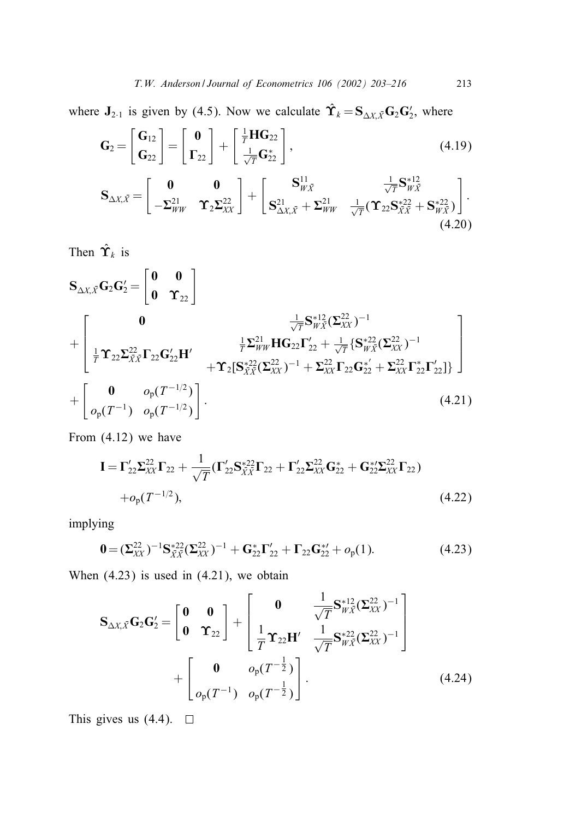where  $J_{2\cdot 1}$  is given by (4.5). Now we calculate  $\hat{\Upsilon}_k = S_{\Delta X, \bar{X}} G_2 G_2'$ , where

$$
\mathbf{G}_{2} = \begin{bmatrix} \mathbf{G}_{12} \\ \mathbf{G}_{22} \end{bmatrix} = \begin{bmatrix} \mathbf{0} \\ \mathbf{\Gamma}_{22} \end{bmatrix} + \begin{bmatrix} \frac{1}{T} \mathbf{H} \mathbf{G}_{22} \\ \frac{1}{\sqrt{T}} \mathbf{G}_{22}^{*} \end{bmatrix},
$$
(4.19)  

$$
\mathbf{S}_{\Delta X, \bar{X}} = \begin{bmatrix} \mathbf{0} & \mathbf{0} \\ -\Sigma_{WW}^{21} & \mathbf{\Upsilon}_{2} \Sigma_{XX}^{22} \end{bmatrix} + \begin{bmatrix} \mathbf{S}_{W\bar{X}}^{11} & \frac{1}{\sqrt{T}} \mathbf{S}_{W\bar{X}}^{*12} \\ \mathbf{S}_{\Delta X, \bar{X}}^{21} + \Sigma_{WW}^{21} & \frac{1}{\sqrt{T}} (\mathbf{\Upsilon}_{22} \mathbf{S}_{X\bar{X}}^{*22} + \mathbf{S}_{W\bar{X}}^{*22}) \end{bmatrix}.
$$
(4.20)

Then  $\hat{\Upsilon}_k$  is

$$
\mathbf{S}_{\Delta X, \bar{X}} \mathbf{G}_2 \mathbf{G}_2' = \begin{bmatrix} \mathbf{0} & \mathbf{0} \\ \mathbf{0} & \mathbf{\hat{T}}_{22} \end{bmatrix} + \begin{bmatrix} \frac{1}{T} \mathbf{S}_{W\bar{X}}^{*12} (\Sigma_{XX}^{22})^{-1} \\ \frac{1}{T} \mathbf{\hat{T}}_{22} \Sigma_{\bar{X}\bar{X}}^{22} \mathbf{\Gamma}_{22} \mathbf{G}_{22}' \mathbf{H}' & \frac{1}{T} \Sigma_{WW}^{21} \mathbf{H} \mathbf{G}_{22} \mathbf{\Gamma}_{22}' + \frac{1}{\sqrt{T}} \{ \mathbf{S}_{W\bar{X}}^{*22} (\Sigma_{XX}^{22})^{-1} \\ + \mathbf{\hat{T}}_{2} [\mathbf{S}_{\bar{X}\bar{X}}^{*22} (\Sigma_{XX}^{22})^{-1} + \Sigma_{XX}^{22} \mathbf{\Gamma}_{22} \mathbf{G}_{22}' + \Sigma_{XX}^{22} \mathbf{\Gamma}_{22}' \mathbf{\Gamma}_{22}' ] \} \end{bmatrix} + \begin{bmatrix} \mathbf{0} & o_p(T^{-1/2}) \\ o_p(T^{-1}) & o_p(T^{-1/2}) \end{bmatrix}.
$$
\n(4.21)

From (4.12) we have

$$
\mathbf{I} = \Gamma_{22}' \Sigma_{XX}^{22} \Gamma_{22} + \frac{1}{\sqrt{T}} (\Gamma_{22}' \mathbf{S}_{XX}^{*22} \Gamma_{22} + \Gamma_{22}' \Sigma_{XX}^{22} \mathbf{G}_{22}^{*} + \mathbf{G}_{22}^{*2} \Sigma_{XX}^{22} \Gamma_{22})
$$
  
+  $o_{p}(T^{-1/2}),$  (4.22)

implying

$$
\mathbf{0} = (\mathbf{\Sigma}_{XX}^{22})^{-1} \mathbf{S}_{\bar{X}\bar{X}}^{*22} (\mathbf{\Sigma}_{XX}^{22})^{-1} + \mathbf{G}_{22}^* \mathbf{\Gamma}_{22}' + \mathbf{\Gamma}_{22} \mathbf{G}_{22}^{*2} + o_p(1). \tag{4.23}
$$

When  $(4.23)$  is used in  $(4.21)$ , we obtain

$$
\mathbf{S}_{\Delta X, \bar{X}} \mathbf{G}_2 \mathbf{G}'_2 = \begin{bmatrix} \mathbf{0} & \mathbf{0} \\ \mathbf{0} & \mathbf{\hat{T}}_{22} \end{bmatrix} + \begin{bmatrix} \mathbf{0} & \frac{1}{\sqrt{T}} \mathbf{S}_{W\bar{X}}^{*12} (\mathbf{\Sigma}_{XX}^{22})^{-1} \\ \frac{1}{T} \mathbf{\hat{T}}_{22} \mathbf{H}' & \frac{1}{\sqrt{T}} \mathbf{S}_{W\bar{X}}^{*22} (\mathbf{\Sigma}_{XX}^{22})^{-1} \end{bmatrix} + \begin{bmatrix} \mathbf{0} & o_p(T^{-\frac{1}{2}}) \\ o_p(T^{-1}) & o_p(T^{-\frac{1}{2}}) \end{bmatrix} . \tag{4.24}
$$

This gives us (4.4).  $\Box$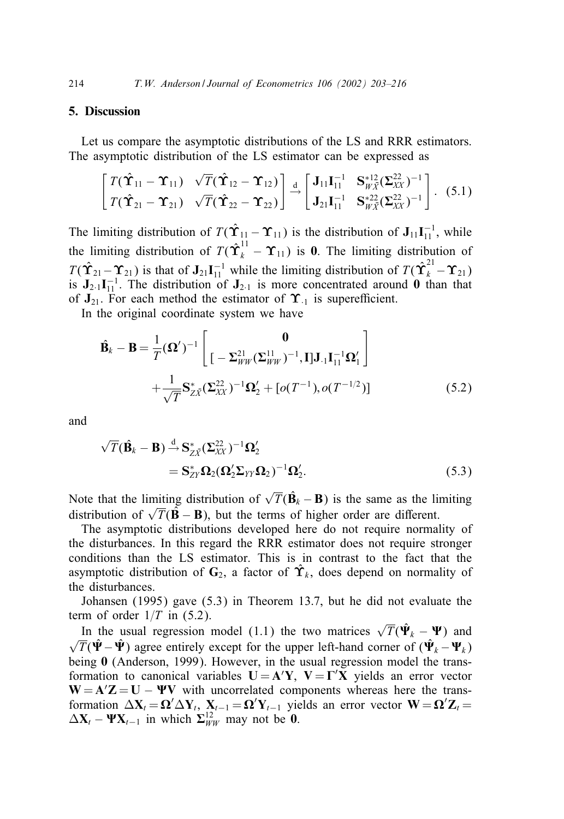## 5. Discussion

Let us compare the asymptotic distributions of the LS and RRR estimators. The asymptotic distribution of the LS estimator can be expressed as

$$
\begin{bmatrix}\nT(\hat{\mathbf{T}}_{11} - \mathbf{T}_{11}) & \sqrt{T}(\hat{\mathbf{T}}_{12} - \mathbf{T}_{12}) \\
T(\hat{\mathbf{T}}_{21} - \mathbf{T}_{21}) & \sqrt{T}(\hat{\mathbf{T}}_{22} - \mathbf{T}_{22})\n\end{bmatrix} \stackrel{d}{\rightarrow} \begin{bmatrix}\nJ_{11}\mathbf{I}_{11}^{-1} & \mathbf{S}_{W\bar{X}}^{*12}(\Sigma_{XX}^{22})^{-1} \\
J_{21}\mathbf{I}_{11}^{-1} & \mathbf{S}_{W\bar{X}}^{*22}(\Sigma_{XX}^{22})^{-1}\n\end{bmatrix}.
$$
\n(5.1)

The limiting distribution of  $T(\hat{\Upsilon}_{11} - \Upsilon_{11})$  is the distribution of  $J_{11}I_{11}^{-1}$ , while the limiting distribution of  $T(\hat{\Upsilon}_k^{11} - \Upsilon_{11})$  is 0. The limiting distribution of  $T(\hat{\Upsilon}_{21}-\Upsilon_{21})$  is that of  $J_{21}I_{11}^{-1}$  while the limiting distribution of  $T(\hat{\Upsilon}_{k}^{21}-\Upsilon_{21})$ is  $J_{2.1}I_{11}^{-1}$ . The distribution of  $J_{2.1}$  is more concentrated around 0 than that of  $J_{21}$ . For each method the estimator of  $\Upsilon_{-1}$  is superefficient.

In the original coordinate system we have

$$
\hat{\mathbf{B}}_k - \mathbf{B} = \frac{1}{T} (\mathbf{\Omega}')^{-1} \begin{bmatrix} \mathbf{0} \\ \left[ -\Sigma_{WW}^{21} (\Sigma_{WW}^{11})^{-1}, \mathbf{I} \right] \mathbf{J}_{\cdot 1} \mathbf{I}_{11}^{-1} \mathbf{\Omega}'_1 \end{bmatrix} + \frac{1}{\sqrt{T}} \mathbf{S}_{ZZ}^* (\Sigma_{XX}^{22})^{-1} \mathbf{\Omega}'_2 + [o(T^{-1}), o(T^{-1/2})] \tag{5.2}
$$

and

$$
\sqrt{T}(\hat{\mathbf{B}}_k - \mathbf{B}) \stackrel{d}{\rightarrow} \mathbf{S}_{Z\bar{X}}^* (\Sigma_{XX}^{22})^{-1} \Omega_2'
$$
  
= 
$$
\mathbf{S}_{ZY}^* \Omega_2 (\Omega_2' \Sigma_{YY} \Omega_2)^{-1} \Omega_2'.
$$
 (5.3)

Note that the limiting distribution of  $\sqrt{T}(\hat{\mathbf{B}}_k - \mathbf{B})$  is the same as the limiting distribution of  $\sqrt{T}(\hat{\mathbf{B}} - \mathbf{B})$ , but the terms of higher order are different.

The asymptotic distributions developed here do not require normality of the disturbances. In this regard the RRR estimator does not require stronger conditions than the LS estimator. This is in contrast to the fact that the asymptotic distribution of  $\mathbf{G}_2$ , a factor of  $\hat{\mathbf{T}}_k$ , does depend on normality of the disturbances.

Johansen (1995) gave (5.3) in Theorem 13:7, but he did not evaluate the term of order  $1/T$  in (5.2).

In the usual regression model (1.1) the two matrices  $\sqrt{T}(\hat{\Psi}_k - \Psi)$  and In the usual regression model (1.1) the two matrices  $\nabla T(\hat{\mathbf{r}}_k - \hat{\mathbf{r}})$  and  $\sqrt{T}(\hat{\mathbf{\Psi}}_k - \hat{\mathbf{\Psi}}_k)$  agree entirely except for the upper left-hand corner of  $(\hat{\mathbf{\Psi}}_k - \mathbf{\Psi}_k)$ being 0 (Anderson, 1999). However, in the usual regression model the transformation to canonical variables  $U = A'Y$ ,  $V = \Gamma'X$  yields an error vector  $W = A'Z = U - \Psi V$  with uncorrelated components whereas here the transformation  $\Delta X_t = \mathbf{\Omega}' \Delta Y_t$ ,  $X_{t-1} = \mathbf{\Omega}' Y_{t-1}$  yields an error vector  $\mathbf{W} = \mathbf{\Omega}' \mathbf{Z}_t =$  $\Delta \mathbf{X}_t - \mathbf{\Psi} \mathbf{X}_{t-1}$  in which  $\Sigma_{WW}^{12}$  may not be 0.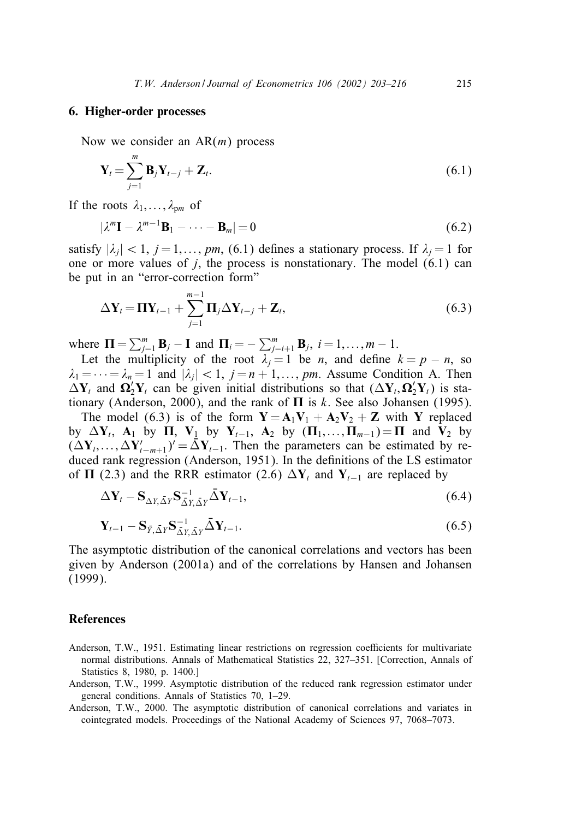#### 6. Higher-order processes

Now we consider an  $AR(m)$  process

$$
\mathbf{Y}_{t} = \sum_{j=1}^{m} \mathbf{B}_{j} \mathbf{Y}_{t-j} + \mathbf{Z}_{t}.
$$
 (6.1)

If the roots  $\lambda_1,\ldots,\lambda_{pm}$  of

$$
|\lambda^m \mathbf{I} - \lambda^{m-1} \mathbf{B}_1 - \dots - \mathbf{B}_m| = 0 \tag{6.2}
$$

satisfy  $|\lambda_i|$  < 1, j = 1, ..., pm, (6.1) defines a stationary process. If  $\lambda_i = 1$  for one or more values of  $j$ , the process is nonstationary. The model  $(6.1)$  can be put in an "error-correction form"

$$
\Delta \mathbf{Y}_t = \mathbf{\Pi} \mathbf{Y}_{t-1} + \sum_{j=1}^{m-1} \mathbf{\Pi}_j \Delta \mathbf{Y}_{t-j} + \mathbf{Z}_t, \tag{6.3}
$$

where  $\mathbf{\Pi} = \sum_{j=1}^{m} \mathbf{B}_{j} - \mathbf{I}$  and  $\mathbf{\Pi}_{i} = -\sum_{j=i+1}^{m} \mathbf{B}_{j}$ ,  $i = 1, \ldots, m-1$ .

Let the multiplicity of the root  $\lambda_i = 1$  be *n*, and define  $k = p - n$ , so  $\lambda_1 = \cdots = \lambda_n = 1$  and  $|\lambda_i| < 1$ ,  $i = n + 1, \ldots, pm$ . Assume Condition A. Then  $\Delta Y_t$  and  $\Omega'_2 Y_t$  can be given initial distributions so that  $(\Delta Y_t, \Omega'_2 Y_t)$  is stationary (Anderson, 2000), and the rank of  $\Pi$  is k. See also Johansen (1995).

The model (6.3) is of the form  $Y = A_1V_1 + A_2V_2 + Z$  with Y replaced by  $\Delta Y_t$ ,  $A_1$  by  $\Pi$ ,  $V_1$  by  $Y_{t-1}$ ,  $A_2$  by  $(\Pi_1,\ldots,\Pi_{m-1}) = \Pi$  and  $V_2$  by  $(\Delta Y_1, \ldots, \Delta Y'_{t-m+1})^{\prime} = \bar{\Delta} Y_{t-1}$ . Then the parameters can be estimated by reduced rank regression (Anderson, 1951). In the definitions of the LS estimator of  $\Pi$  (2.3) and the RRR estimator (2.6)  $\Delta Y_t$  and  $Y_{t-1}$  are replaced by

$$
\Delta \mathbf{Y}_t - \mathbf{S}_{\Delta Y, \bar{\Delta} Y} \mathbf{S}_{\bar{\Delta} Y, \bar{\Delta} Y}^{-1} \bar{\Delta} \mathbf{Y}_{t-1},
$$
\n(6.4)

$$
\mathbf{Y}_{t-1} - \mathbf{S}_{\bar{Y}, \bar{\Delta}Y} \mathbf{S}_{\bar{\Delta}Y, \bar{\Delta}Y}^{-1} \bar{\Delta} \mathbf{Y}_{t-1}.
$$
\n(6.5)

The asymptotic distribution of the canonical correlations and vectors has been given by Anderson (2001a) and of the correlations by Hansen and Johansen (1999).

#### **References**

- Anderson, T.W., 1951. Estimating linear restrictions on regression coefficients for multivariate normal distributions. Annals of Mathematical Statistics 22, 327–351. [Correction, Annals of Statistics 8, 1980, p. 1400.]
- Anderson, T.W., 1999. Asymptotic distribution of the reduced rank regression estimator under general conditions. Annals of Statistics 70, 1–29.
- Anderson, T.W., 2000. The asymptotic distribution of canonical correlations and variates in cointegrated models. Proceedings of the National Academy of Sciences 97, 7068–7073.